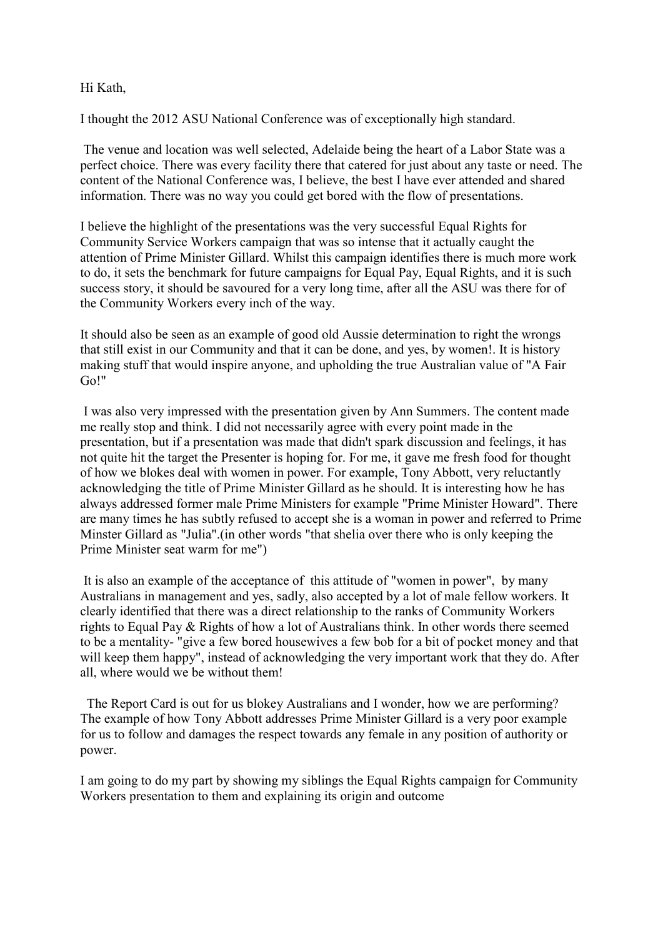## Hi Kath,

I thought the 2012 ASU National Conference was of exceptionally high standard.

The venue and location was well selected, Adelaide being the heart of a Labor State was a perfect choice. There was every facility there that catered for just about any taste or need. The content of the National Conference was, I believe, the best I have ever attended and shared information. There was no way you could get bored with the flow of presentations.

I believe the highlight of the presentations was the very successful Equal Rights for Community Service Workers campaign that was so intense that it actually caught the attention of Prime Minister Gillard. Whilst this campaign identifies there is much more work to do, it sets the benchmark for future campaigns for Equal Pay, Equal Rights, and it is such success story, it should be savoured for a very long time, after all the ASU was there for of the Community Workers every inch of the way.

It should also be seen as an example of good old Aussie determination to right the wrongs that still exist in our Community and that it can be done, and yes, by women!. It is history making stuff that would inspire anyone, and upholding the true Australian value of "A Fair Go!"

I was also very impressed with the presentation given by Ann Summers. The content made me really stop and think. I did not necessarily agree with every point made in the presentation, but if a presentation was made that didn't spark discussion and feelings, it has not quite hit the target the Presenter is hoping for. For me, it gave me fresh food for thought of how we blokes deal with women in power. For example, Tony Abbott, very reluctantly acknowledging the title of Prime Minister Gillard as he should. It is interesting how he has always addressed former male Prime Ministers for example "Prime Minister Howard". There are many times he has subtly refused to accept she is a woman in power and referred to Prime Minster Gillard as "Julia".(in other words "that shelia over there who is only keeping the Prime Minister seat warm for me")

It is also an example of the acceptance of this attitude of "women in power", by many Australians in management and yes, sadly, also accepted by a lot of male fellow workers. It clearly identified that there was a direct relationship to the ranks of Community Workers rights to Equal Pay & Rights of how a lot of Australians think. In other words there seemed to be a mentality- "give a few bored housewives a few bob for a bit of pocket money and that will keep them happy", instead of acknowledging the very important work that they do. After all, where would we be without them!

 The Report Card is out for us blokey Australians and I wonder, how we are performing? The example of how Tony Abbott addresses Prime Minister Gillard is a very poor example for us to follow and damages the respect towards any female in any position of authority or power.

I am going to do my part by showing my siblings the Equal Rights campaign for Community Workers presentation to them and explaining its origin and outcome